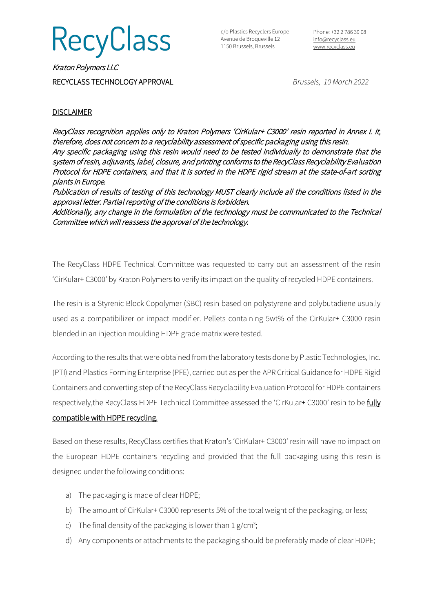

c/o Plastics Recyclers Europe Avenue de Broqueville 12 1150 Brussels, Brussels

Phone: +32 2 786 39 08 [info@recyclass.eu](mailto:info@recyclass.eu) [www.recyclass.eu](http://www.recyclass.eu/)

Kraton Polymers LLC RECYCLASS TECHNOLOGY APPROVAL *Brussels, 10 March 2022*

## **DISCLAIMER**

RecyClass recognition applies only to Kraton Polymers 'CirKular+ C3000' resin reported in Annex I. It, therefore, does not concern to a recyclability assessment of specific packaging using this resin. Any specific packaging using this resin would need to be tested individually to demonstrate that the system of resin, adjuvants, label, closure, and printing conforms to the RecyClass Recyclability Evaluation Protocol for HDPE containers, and that it is sorted in the HDPE rigid stream at the state-of-art sorting plants in Europe.

Publication of results of testing of this technology MUST clearly include all the conditions listed in the approval letter. Partial reporting of the conditions is forbidden.

Additionally, any change in the formulation of the technology must be communicated to the Technical Committee which will reassess the approval of the technology.

The RecyClass HDPE Technical Committee was requested to carry out an assessment of the resin 'CirKular+ C3000' by Kraton Polymers to verify its impact on the quality of recycled HDPE containers.

The resin is a Styrenic Block Copolymer (SBC) resin based on polystyrene and polybutadiene usually used as a compatibilizer or impact modifier. Pellets containing 5wt% of the CirKular+ C3000 resin blended in an injection moulding HDPE grade matrix were tested.

According to the results that were obtained from the laboratory tests done by Plastic Technologies, Inc. (PTI) and Plastics Forming Enterprise (PFE), carried out as per the APR Critical Guidance for HDPE Rigid Containers and converting step of the RecyClass Recyclability Evaluation Protocol for HDPE containers respectively, the RecyClass HDPE Technical Committee assessed the 'CirKular+ C3000' resin to be fully compatible with HDPE recycling.

Based on these results, RecyClass certifies that Kraton's 'CirKular+ C3000' resin will have no impact on the European HDPE containers recycling and provided that the full packaging using this resin is designed under the following conditions:

- a) The packaging is made of clear HDPE;
- b) The amount of CirKular+ C3000 represents 5% of the total weight of the packaging, or less;
- c) The final density of the packaging is lower than  $1 g/cm^3$ ;
- d) Any components or attachments to the packaging should be preferably made of clear HDPE;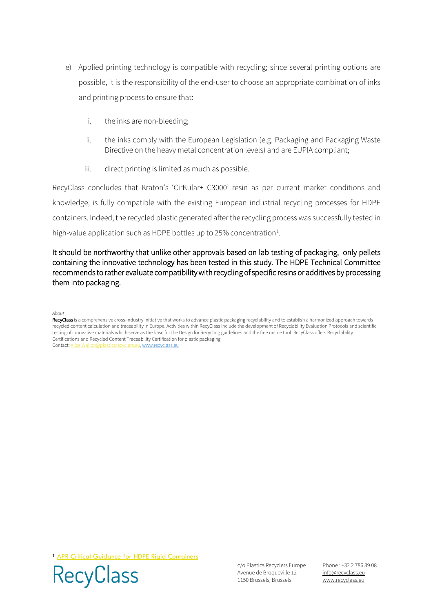- e) Applied printing technology is compatible with recycling; since several printing options are possible, it is the responsibility of the end-user to choose an appropriate combination of inks and printing process to ensure that:
	- i. the inks are non-bleeding;
	- ii. the inks comply with the European Legislation (e.g. Packaging and Packaging Waste Directive on the heavy metal concentration levels) and are EUPIA compliant;
	- iii. direct printing is limited as much as possible.

RecyClass concludes that Kraton's 'CirKular+ C3000' resin as per current market conditions and knowledge, is fully compatible with the existing European industrial recycling processes for HDPE containers. Indeed, the recycled plastic generated after the recycling process was successfully tested in high-value application such as HDPE bottles up to 25% concentration<sup>[1](#page-1-0)</sup>.

## It should be northworthy that unlike other approvals based on lab testing of packaging, only pellets containing the innovative technology has been tested in this study. The HDPE Technical Committee recommends to rather evaluate compatibility with recycling of specific resins or additives by processing them into packaging.

## *About*

RecyClass is a comprehensive cross-industry initiative that works to advance plastic packaging recyclability and to establish a harmonized approach towards recycled content calculation and traceability in Europe. Activities within RecyClass include the development of Recyclability Evaluation Protocols and scientific testing of innovative materials which serve as the base for the Design for Recycling guidelines and the free online tool. RecyClass offers Recyclability Certifications and Recycled Content Traceability Certification for plastic packaging. Contact[: Alice.Wallon@plasticsrecyclers.eu,](mailto:Alice.Wallon@plasticsrecyclers.eu) [www.recyclass.eu](http://www.recyclass.eu/)

<span id="page-1-0"></span><sup>1</sup> [APR Critical Guidance for HDPE](https://plasticsrecycling.org/images/Design-Guidance-Tests/APR-PP-CG-01-critical-guidance.pdf) Rigid Containers



c/o Plastics Recyclers Europe Avenue de Broqueville 12 1150 Brussels, Brussels

Phone : +32 2 786 39 08 info[@recyclass.eu](mailto:recyclass@plasticsrecyclers.eu) www.recyclass.eu